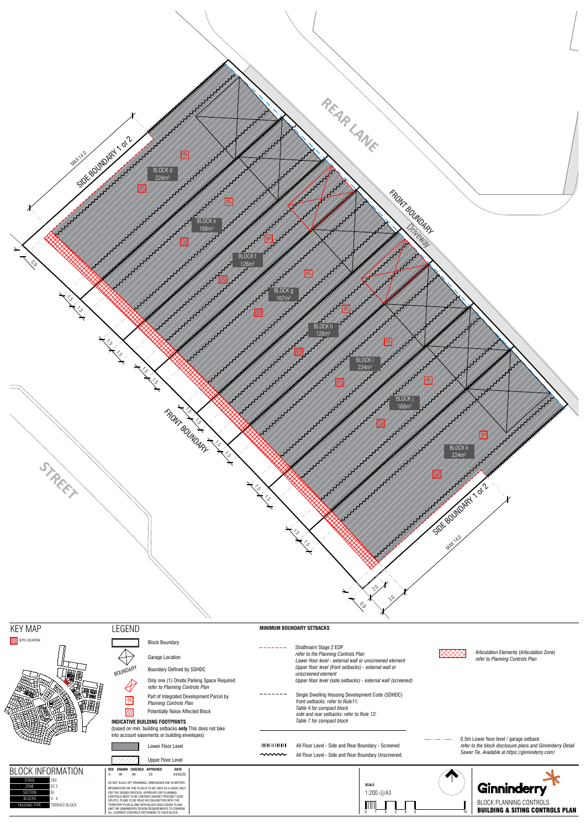





 $\bigoplus$ 

 $\langle \rangle$ 

 $\mathbb{Z}$ 

Block Boundary

Garage Location

# **INDICATIVE BUILDING FOOTPRINTS**

(based on min. building setbacks **only** This does not take into account easements or building envelopes)



| ___ |  |
|-----|--|
|     |  |
|     |  |
|     |  |
|     |  |

# **MINIMUM BOUNDARY SETBACKS**

المتمام ماماسا







# SITE LOCATION

**SECTIO** 



- BOUNDARY Boundary Defined by SDHDC
	- Only one (1) Onsite Parking Space Required *refer to Planning Controls Plan*
	- Part of Integrated Development Parcel by *Planning Controls Planning Controls Plan* 
		- Potentially Noise Affected Block



- Strathnairn Stage 2 EDP *refer to the Planning Controls Plan Lower floor level - external wall or unscreened element Upper floor level (front setbacks) - external wall or unscreened element Upper floor level (side setbacks) - external wall (screened)*
- Single Dwelling Housing Development Code (SDHDC) -------*front setbacks: refer to Rule11: Table 4 for compact block side and rear setbacks: refer to Rule 12: Table 7 for compact block*

Articulation Elements (Articulation Zone) *refer to Planning Controls Plan*

0.5m Lower floor level / garage setback *refer to the block disclosure plans and Ginninderry Detail Sewer Tie. Available at https://ginninderry.com/*